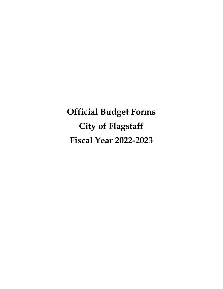**Official Budget Forms City of Flagstaff Fiscal Year 2022-2023**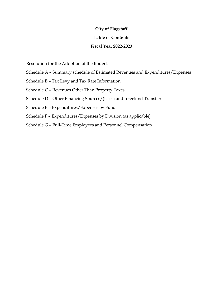# **City of Flagstaff**

# **Table of Contents**

# **Fiscal Year 2022-2023**

Resolution for the Adoption of the Budget

- Schedule A Summary schedule of Estimated Revenues and Expenditures/Expenses
- Schedule B Tax Levy and Tax Rate Information
- Schedule C Revenues Other Than Property Taxes
- Schedule D Other Financing Sources/(Uses) and Interfund Transfers
- Schedule E Expenditures/Expenses by Fund
- Schedule F Expenditures/Expenses by Division (as applicable)
- Schedule G Full-Time Employees and Personnel Compensation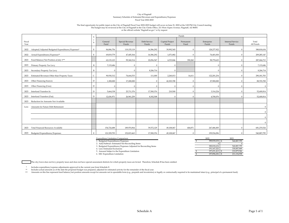#### City of Flagstaff Summary Schedule of Estimated Revenues and Expenditures/Expenses Fiscal Year 2022-2023

#### The final opportunity for public input on the City of Flagstaff Fiscal Year 2022-2023 budget will occur on June 21, 2022 at the 3:00 PM City Council meeting The budget may be reviewed at the City of Flagstaff in the City Clerks Office, 211 West Aspen Avenue, Flagstaff, AZ 86001 or the official website "flagstaff.az.gov" or by request

|                                                          | S |                 |                          |                       |                          | Funds             |                     |                                  |                    |
|----------------------------------------------------------|---|-----------------|--------------------------|-----------------------|--------------------------|-------------------|---------------------|----------------------------------|--------------------|
| Fiscal<br>Year                                           | c | General<br>Fund | Special Revenue<br>Funds | Debt Service<br>Funds | Capital Project<br>Funds | Permanent<br>Fund | Enterprise<br>Funds | <b>Internal Service</b><br>Funds | Total<br>All Funds |
| Adopted/Adjusted Budgeted Expenditures/Expenses*<br>2022 | E | 84,806,756      | 119,155,119              | 16,586,292            | 39,992,545               | $\Omega$          | 128,277,922         |                                  | 388,818,634        |
| Actual Expenditures/Expenses**<br>2022                   | E | 69,819,779      | 47,405,364               | 16,586,292            | 1,071,882                | £                 | 74,401,830          |                                  | 209, 285, 147      |
| Fund Balance/Net Position at July 1***<br>2023           |   | 62,133,123      | 99,360,314               | 22,056,547            | 4,333,846                | 390,260           | 98,770,623          | $\Omega$                         | 287,044,713        |
| Primary Property Tax Levy<br>2023                        | B | 7,133,686       | $\Omega$                 | $\Omega$              | $\Omega$                 |                   | 0                   | $\Omega$                         | 7,133,686          |
| Secondary Property Tax Levy<br>2023                      | B | $\Omega$        |                          | 8,206,714             | $\Omega$                 |                   | $\Omega$            | $\Omega$                         | 8,206,714          |
| Estimated Revenues Other than Property Taxes<br>2023     | C | 90,930,312      | 74,664,533               | 111,000               | 2,260,013                | 14,611            | 122,201,234         | $\Omega$                         | 290,181,703        |
| Other Financing Sources<br>2023                          | D | 1,300,000       | 17,200,000               | $\Omega$              | 42,303,708               | $\sqrt{ }$        | 27,900,000          | $\Omega$                         | 88,703,708         |
| Other Financing (Uses)<br>2023                           | D | £               |                          |                       | $\Omega$                 | $\Omega$          | n                   | $\Omega$                         |                    |
| Interfund Transfers In<br>2023                           | D | 5,664,338       | 25,711,376               | 17,500,376            | 210,500                  | $\Omega$          | 3,314,224           | $\Omega$                         | 52,400,814         |
| Interfund Transfers (Out)<br>2023                        | D | 12,436,971      | 26,961,259               | 8,302,508             | $\Omega$                 | $\Omega$          | 4,700,076           |                                  | 52,400,814         |
| Reduction for Amounts Not Available<br>2023              |   |                 |                          |                       |                          |                   |                     |                                  |                    |
| Amounts for Future Debt Retirement<br>Less:              |   |                 |                          |                       |                          |                   |                     |                                  |                    |
|                                                          |   |                 |                          |                       |                          |                   |                     |                                  |                    |
|                                                          |   |                 |                          |                       |                          |                   |                     |                                  |                    |
|                                                          |   |                 |                          |                       |                          |                   |                     |                                  |                    |
| <b>Total Financial Resources Available</b><br>2023       |   | 154,724,488     | 189,974,964              | 39,572,129            | 49,108,067               | 404,871           | 247,486,005         |                                  | 681,270,524        |
| 2023<br>Budgeted Expenditures/Expenses                   | E | 121,529,793     | 152,815,463              | 17,500,376            | 49,108,067               | $\theta$          | 199,934,096         |                                  | 540,887,795        |

4. Less: Estimated Exclusions

6. EEC Expenditure Limitation

Expenditure Limitation Comparison 2022 2023 2023<br>1. Budgeted Expenditures/Expenses 388,818,634 \$ 540,887,795 388,818,634 \$ 540,887,795 2. Add/Subtract: Estimated Net Reconciling Items <sup>0</sup> <sup>0</sup> 3. Budgeted Expenditures/Expenses Adjusted for Reconciling Items 540,887,795 388,818,634 540,887,795 330,007,849 540,887,795 330,007,849 540,887,795 330,007,849 540,887,795 330,007,849 5. Amount Subject to the Expenditure Limitation and the Expenditure Limitation and the Expenditure Limitation and the Expenditure Limitation and the Superbox of the Expenditure Limitation and the Superbox of the Superbox o

The city/town does not levy property taxes and does not have special assessment districts for which property taxes are levied. Therefore, Schedule B has been omitted.

\*Includes expenditure/expense adjustments approved in the current year from Schedule E.

 \*\*Includes actual amounts as of the date the proposed budget was prepared, adjusted for estimated activity for the remainder of the fiscal year.

\*\*\* Amounts on this line represent fund balance/net position amounts except for amounts not in spendable form (e.g., prepaids and inventories) or legally or contractually required to be maintained intact (e.g., principal o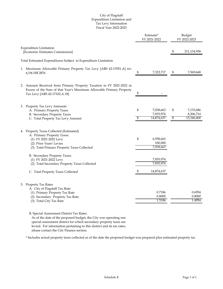# City of Flagstaff Expenditure Limitation and Tax Levy Information Fiscal Year 2022-2023

|                                                                                                                                                                                             |          | Estimate*<br>FY 2021-2022            | Budget<br>FY 2022-2023 |                                      |  |
|---------------------------------------------------------------------------------------------------------------------------------------------------------------------------------------------|----------|--------------------------------------|------------------------|--------------------------------------|--|
| <b>Expenditure Limitation</b><br>[Economic Estimates Commission]                                                                                                                            |          |                                      | \$                     | 211,134,938                          |  |
| Total Estimated Expenditures Subject to Expenditure Limitation                                                                                                                              |          |                                      |                        |                                      |  |
| 1. Maximum Allowable Primary Property Tax Levy [ARS 42-17051.A] rev<br>6/06 HB 2876                                                                                                         | \$       | 7,322,717                            | \$                     | 7,569,668                            |  |
| 2. Amount Received from Primary Property Taxation in FY 2021-2022 in<br>Excess of the Sum of that Year's Maximum Allowable Primary Property<br>Tax Levy [ARS 42-17102.A.18]                 | \$       |                                      |                        |                                      |  |
| 3. Property Tax Levy Amounts<br>A. Primary Property Taxes<br><b>B.</b> Secondary Property Taxes<br>C. Total Property Tax Levy Amount                                                        | \$<br>\$ | 7,038,663<br>7,835,974<br>14,874,637 | \$<br>\$               | 7,133,686<br>8,206,714<br>15,340,400 |  |
| 4. Property Taxes Collected (Estimated)<br>A. Primary Property Taxes:<br>(1) FY 2021-2022 Levy<br>(2) Prior Years' Levies<br>(3) Total Primary Property Taxes Collected                     | \$       | 6,938,663<br>100,000<br>7,038,663    |                        |                                      |  |
| B. Secondary Property Taxes:<br>(1) FY 2021-2022 Levy<br>(2) Total Secondary Property Taxes Collected                                                                                       | \$       | 7,835,974<br>7,835,974<br>14,874,637 |                        |                                      |  |
| C. Total Property Taxes Collected<br>5. Property Tax Rates<br>A. City of Flagstaff Tax Rate:<br>(1) Primary Property Tax Rate<br>(2) Secondary Property Tax Rate<br>(3) Total City Tax Rate |          | 0.7186<br>0.8000<br>1.5186           |                        | 0.6954<br>0.8000<br>1.4954           |  |

B. Special Assessment District Tax Rates:

As of the date of the proposed budget, the City was operating one special assessment district for which secondary property taxes are levied. For information pertaining to this district and its tax rates, please contact the City Finance section.

\* Includes actual property taxes collected as of the date the proposed budget was prepared plus estimated property tax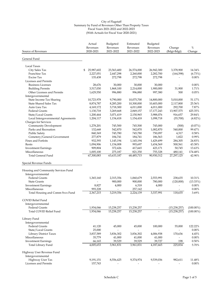| Source of Revenues                                         | Actual<br>Revenues<br>2020-2021 | Budgeted<br>Revenues<br>2021-2022 | Estimated<br>Revenues<br>2021-2022 | Budgeted<br>Revenues<br>2022-2023 | Change<br>(Bdgt-Bdgt)       | $\%$<br>Change    |  |
|------------------------------------------------------------|---------------------------------|-----------------------------------|------------------------------------|-----------------------------------|-----------------------------|-------------------|--|
| General Fund                                               |                                 |                                   |                                    |                                   |                             |                   |  |
| Local Taxes                                                |                                 |                                   |                                    |                                   |                             |                   |  |
| City Sales Tax                                             | \$<br>25,987,602                | 23,563,400                        | 26,574,000                         | 26,942,300                        | 3,378,900                   | 14.34%            |  |
| Franchise Tax                                              | 2,227,051                       | 2,447,298                         | 2,260,000                          | 2,282,700                         | (164, 598)                  | (6.73%)           |  |
| <b>Excise Tax</b>                                          | 135,438                         | 272,798                           | 272,798                            | 272,798                           |                             | $0.00\%$          |  |
| Licenses and Permits                                       |                                 |                                   |                                    |                                   |                             |                   |  |
| <b>Business Licenses</b>                                   | 28,676                          | 30,000                            | 30,000                             | 30,000                            |                             | $0.00\%$          |  |
| <b>Building Permits</b>                                    | 3,517,030                       | 1,868,100                         | 2,214,000                          | 1,900,000                         | 31,900                      | 1.71%             |  |
| Other Licenses and Permits                                 | 1,629,550                       | 996,880                           | 996,880                            | 997,380                           | 500                         | 0.05%             |  |
| Intergovernmental                                          |                                 |                                   |                                    |                                   |                             |                   |  |
| State Income Tax Sharing                                   | 10,723,978                      | 9,790,000                         | 10,075,700                         | 14,800,000                        | 5,010,000                   | 51.17%            |  |
| <b>State Shared Sales Tax</b>                              | 8,874,787                       | 8,285,200                         | 10,300,000                         | 10,403,000                        | 2,117,800                   | 25.56%            |  |
| Auto Lieu Tax                                              | 4,169,172                       | 3,718,300                         | 4,011,000                          | 4,011,000                         | 292,700                     | 7.87%             |  |
| <b>Federal Grants</b>                                      | 1,130,718                       | 3,269,668                         | 2,849,157                          | 17,177,243                        | 13,907,575                  | 425.35%           |  |
| State/Local Grants                                         | 1,200,444                       | 3,071,419                         | 2,150,965                          | 3,988,076                         | 916,657                     | 29.84%            |  |
| Local Intergovernmental Agreements<br>Charges for Services | 1,204,117                       | 1,154,418                         | 1,154,418                          | 1,098,718                         | (55,700)                    | $(4.82\%)$        |  |
| <b>Community Development</b>                               | 1,278,201                       | 745,500                           | 745,500                            | 745,000                           | (500)                       | $(0.07\%)$        |  |
| Parks and Recreation                                       | 132,668                         | 542,870                           | 542,870                            | 1,082,870                         | 540,000                     | 99.47%            |  |
| <b>Public Safety</b>                                       | 840,369                         | 745,780                           | 745,780                            | 750,097                           | 4,317                       | 0.58%             |  |
| Cemetery/General Government                                | 277,879                         | 184,741                           | 184,741                            | 186,563                           | 1,822                       | 0.99%             |  |
| Fines and Forfeits                                         | 932,593                         | 1,145,194                         | 1,145,194                          | 1,429,499                         | 284,305                     | 24.83%            |  |
| Rents                                                      | 1,094,906                       | 1,154,008                         | 993,697                            | 1,654,569                         | 500,561                     | 43.38%            |  |
| <b>Investment Earnings</b>                                 | 909,804                         | 372,426                           | 417,665                            | 423,171                           | 50,745                      | 13.63%            |  |
| Miscellaneous                                              | 1,005,100                       | 275,187                           | 821,350                            | 755,328                           | 480,141                     | 174.48%           |  |
| <b>Total General Fund</b>                                  | 67,300,083                      | 63,633,187                        | 68,485,715                         | 90,930,312                        | 27,297,125                  | 42.90%            |  |
| Special Revenue Funds                                      |                                 |                                   |                                    |                                   |                             |                   |  |
| Housing and Community Services Fund                        |                                 |                                   |                                    |                                   |                             |                   |  |
| Intergovernmental                                          |                                 |                                   |                                    |                                   |                             |                   |  |
| <b>Federal Grants</b>                                      | 1,365,160                       | 2,315,356                         | 1,060,679                          | 2,553,991                         | 238,635                     | 10.31%            |  |
| <b>State Grants</b>                                        |                                 | 900,000                           | 900,000                            | 780,000                           | (120,000)<br>$\overline{a}$ | (13.33%)<br>0.00% |  |
| <b>Investment Earnings</b><br>Miscellaneous                | 8,827<br>993,228                | 4,000                             | 6,318<br>257,142                   | 4,000                             |                             | $0.00\%$          |  |
| Total Housing and Comm Svcs Fund                           | 2,367,215                       | 3,219,356                         | 2,224,139                          | 3,337,991                         | 118,635                     | 3.69%             |  |
| <b>COVID Relief Fund</b>                                   |                                 |                                   |                                    |                                   |                             |                   |  |
| Intergovernmental                                          |                                 |                                   |                                    |                                   |                             |                   |  |
| <b>Federal Grants</b>                                      | 1,934,046                       | 15,238,257                        | 15,238,257                         |                                   | (15, 238, 257)              | $(100.00\%)$      |  |
| Total COVID Relief Fund                                    | 1,934,046                       | 15,238,257                        | 15,238,257                         |                                   | (15, 238, 257)              | $(100.00\%)$      |  |
| Library Fund                                               |                                 |                                   |                                    |                                   |                             |                   |  |
| Intergovernmental                                          |                                 |                                   |                                    |                                   |                             |                   |  |
| <b>Federal Grants</b>                                      | 41,120                          | 45,000                            | 45,000                             | 100,000                           | 55,000                      | 122.22%           |  |
| State/Local Grants                                         | 25,000                          | $\overline{\phantom{a}}$          | $\overline{\phantom{a}}$           | $\overline{\phantom{a}}$          |                             | 0.00%             |  |
| Library District Taxes                                     | 3,837,589                       | 3,836,302                         | 3,836,302                          | 4,006,938                         | 170,636                     | 4.45%             |  |
| Miscellaneous                                              | 35,779                          | 41,000                            | 41,000                             | 41,000                            | $\overline{\phantom{a}}$    | $0.00\%$          |  |
| <b>Investment Earnings</b>                                 | 66,165                          | 39,529                            | 39,529                             | 39,727                            | 198                         | 0.50%             |  |
| Total Library Fund                                         | 4,005,653                       | 3,961,831                         | 3,961,831                          | 4,187,665                         | 225,834                     | 5.70%             |  |
| Highway User Revenue Fund                                  |                                 |                                   |                                    |                                   |                             |                   |  |
| Intergovernmental                                          |                                 |                                   |                                    |                                   |                             |                   |  |
| Highway User Tax                                           | 9,191,151                       | 8,556,425                         | 9,374,974                          | 9,539,036                         | 982,611                     | 11.48%            |  |
| Licenses and Permits                                       | 157,743                         | $\overline{\phantom{a}}$          |                                    | $\frac{1}{2}$                     | $\overline{\phantom{a}}$    | $0.00\%$          |  |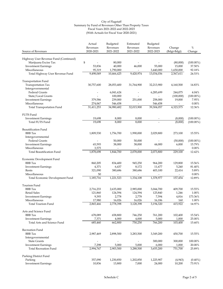|                                         | Actual     | Budgeted                 | Estimated                         | Budgeted                 |                          |              |
|-----------------------------------------|------------|--------------------------|-----------------------------------|--------------------------|--------------------------|--------------|
|                                         | Revenues   | Revenues                 | Revenues                          | Revenues                 | Change                   | $\%$         |
| Source of Revenues                      | 2020-2021  | 2021-2022                | 2021-2022                         | 2022-2023                | (Bdgt-Bdgt)              | Change       |
| Highway User Revenue Fund (Continued)   |            |                          |                                   |                          |                          |              |
| Marijuana Excise Tax                    | \$         | 80,000                   |                                   |                          | (80,000)                 | $(100.00\%)$ |
| <b>Investment Earnings</b>              | 53,836     | 40,000                   | 46,000                            | 55,000                   | 15,000                   | 37.50%       |
| Miscellaneous                           | 95,319     | 1,790,000                | $\overline{\phantom{a}}$          | 3,440,000                | 1,650,000                | 92.18%       |
| Total Highway User Revenue Fund         | 9,498,049  | 10,466,425               | 9,420,974                         | 13,034,036               | 2,567,611                | 24.53%       |
|                                         |            |                          |                                   |                          |                          |              |
| <b>Transportation Fund</b>              |            |                          |                                   |                          |                          |              |
| Transportation Tax                      | 30,757,600 | 28,053,400               | 31,764,900                        | 32,213,900               | 4,160,500                | 14.83%       |
| Intergovernmental                       |            |                          |                                   |                          |                          |              |
| <b>Federal Grants</b>                   |            | 6,041,624                |                                   | 6,285,699                | 244,075                  | 4.04%        |
| State/Local Grants                      |            | 100,000                  |                                   |                          | (100,000)                | $(100.00\%)$ |
| <b>Investment Earnings</b>              | 379,586    | 239,000                  | 251,000                           | 258,000                  | 19,000                   | 7.95%        |
| Miscellaneous                           | 274,067    | 546,458                  |                                   | 546,458                  |                          | 0.00%        |
| <b>Total Transportation Fund</b>        | 31,411,253 | 34,980,482               | 32,015,900                        | 39,304,057               | 4,323,575                | 12.36%       |
|                                         |            |                          |                                   |                          |                          |              |
| FUTS Fund<br><b>Investment Earnings</b> | 19,698     | 8,000                    | 8,000                             |                          | (8,000)                  | $(100.00\%)$ |
| <b>Total FUTS Fund</b>                  | 19.698     | 8,000                    | 8,000                             |                          |                          |              |
|                                         |            |                          |                                   |                          | (8,000)                  | $(100.00\%)$ |
| <b>Beautification Fund</b>              |            |                          |                                   |                          |                          |              |
| BBB Tax                                 | 1,809,530  | 1,756,700                | 1,990,000                         | 2,029,800                | 273,100                  | 15.55%       |
| Intergovernmental                       |            |                          |                                   |                          |                          |              |
| Federal Grants                          |            | 50,000                   | 50,000                            |                          | (50,000)                 | $(100.00\%)$ |
| <b>Investment Earnings</b>              | 65,593     | 38,000                   | 38,000                            | 44,000                   | 6,000                    | 15.79%       |
| Miscellaneous                           | 3,575      | $\overline{\phantom{a}}$ | $\overline{\phantom{a}}$          |                          | $\overline{\phantom{a}}$ | 0.00%        |
| <b>Total Beautification Fund</b>        | 1,878,698  | 1,844,700                | 2,078,000                         | 2,073,800                | 229,100                  | 12.42%       |
|                                         |            |                          |                                   |                          |                          |              |
| Economic Development Fund               |            |                          |                                   |                          |                          |              |
| <b>BBB</b> Tax                          | 860,205    | 834,400                  | 945,250                           | 964,200                  | 129,800                  | 15.56%       |
| <b>Investment Earnings</b>              | 4,371      | 6,437                    | 8,172                             | 11,677                   | 5,240                    | 81.40%       |
| Rents                                   | 321,090    | 380,686                  | 380,686                           | 403,100                  | 22,414                   | 5.89%        |
| Miscellaneous                           | 50         | $\overline{\phantom{a}}$ | $\overline{\phantom{a}}$          | $\overline{\phantom{a}}$ | $\overline{\phantom{a}}$ | 0.00%        |
| Total Economic Development Fund         | 1,185,716  | 1,221,523                | 1,334,108                         | 1,378,977                | 157,454                  | 12.89%       |
| <b>Tourism Fund</b>                     |            |                          |                                   |                          |                          |              |
| <b>BBB</b> Tax                          | 2,716,233  | 2,635,000                | 2,985,000                         | 3,044,700                | 409,700                  | 15.55%       |
| <b>Retail Sales</b>                     | 121,860    | 124,594                  | 124,594                           | 125,840                  | 1,246                    | 1.00%        |
| <b>Investment Earnings</b>              | 9,393      | 2,778                    | 2,778                             | 7,594                    | 4,816                    | 173.36%      |
| Miscellaneous                           | 17,980     | 16,026                   | 16,026                            | 16,186                   | 160                      | 1.00%        |
| Total Tourism Fund                      | 2,865,466  | 2,778,398                | 3,128,398                         | 3,194,320                | 415,922                  | 14.97%       |
|                                         |            |                          |                                   |                          |                          |              |
| Arts and Science Fund                   |            |                          |                                   |                          |                          |              |
| <b>BBB</b> Tax                          | 678,089    | 658,800                  | 746,250                           | 761,200                  | 102,400                  | 15.54%       |
| <b>Investment Earnings</b>              | 7,371      | 4,000                    | 4,000                             | 5,000                    | 1,000                    | 25.00%       |
| Total Arts and Science Fund             | 685,460    | 662,800                  | 750,250                           | 766,200                  | 103,400                  | 15.60%       |
| Recreation Fund                         |            |                          |                                   |                          |                          |              |
| <b>BBB</b> Tax                          | 2,987,469  | 2,898,500                | 3,283,500                         | 3,349,200                | 450,700                  | 15.55%       |
| Intergovernmental                       |            |                          |                                   |                          |                          |              |
| <b>State Grants</b>                     |            | $\overline{\phantom{a}}$ |                                   | 300,000                  | 300,000                  | 100.00%      |
|                                         | 7,298      | 5,000                    | $\overline{\phantom{a}}$<br>5,000 |                          |                          | 20.00%       |
| <b>Investment Earnings</b>              | 2,994,767  |                          |                                   | 6,000<br>3,655,200       | 1,000                    |              |
| <b>Total Recreation Fund</b>            |            | 2,903,500                | 3,288,500                         |                          | 751,700                  | 25.89%       |
| Parking District Fund                   |            |                          |                                   |                          |                          |              |
| Parking                                 | 357,090    | 1,230,850                | 1,202,850                         | 1,225,907                | (4,943)                  | $(0.40\%)$   |
| <b>Investment Earnings</b>              | 10,836     | 13,800                   | 7,000                             | 24,000                   | 10,200                   | 73.91%       |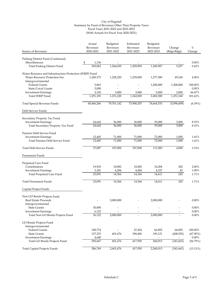| Source of Revenues<br>2020-2021<br>2021-2022<br>2021-2022<br>2022-2023<br>(Bdgt-Bdgt)<br>Parking District Fund (Continued)<br>Miscellaneous<br>0.00%<br>\$<br>1,136<br>1,244,650<br><b>Total Parking District Fund</b><br>369,062<br>1,209,850<br>1,249,907<br>5,257<br>0.42%<br>Water Resource and Infrastructure Protection (WRIP) Fund<br><b>Water Resource Protection Fee</b><br>1,240,175<br>1,228,220<br>1,239,000<br>1,277,380<br>49,160<br>Intergovernmental<br><b>Federal Grants</b><br>1,200,000<br>1,200,000<br>100.00%<br>3,863<br>5,000<br>State/Local Grants<br>5,000<br>66.67%<br><b>Investment Earnings</b><br>2,145<br>3,000<br>3,000<br>2,000<br>1,251,160<br>Total WRIP Fund<br>1,251,183<br>1,231,220<br>1,242,000<br>2,482,380<br>101.62%<br>79,761,142<br>75,900,207<br>74,664,533<br>(5,096,609)<br>Total Special Revenue Funds<br>60,466,266<br>Debt Service Funds | $\%$<br>Change |
|--------------------------------------------------------------------------------------------------------------------------------------------------------------------------------------------------------------------------------------------------------------------------------------------------------------------------------------------------------------------------------------------------------------------------------------------------------------------------------------------------------------------------------------------------------------------------------------------------------------------------------------------------------------------------------------------------------------------------------------------------------------------------------------------------------------------------------------------------------------------------------------------|----------------|
|                                                                                                                                                                                                                                                                                                                                                                                                                                                                                                                                                                                                                                                                                                                                                                                                                                                                                            |                |
|                                                                                                                                                                                                                                                                                                                                                                                                                                                                                                                                                                                                                                                                                                                                                                                                                                                                                            |                |
|                                                                                                                                                                                                                                                                                                                                                                                                                                                                                                                                                                                                                                                                                                                                                                                                                                                                                            |                |
|                                                                                                                                                                                                                                                                                                                                                                                                                                                                                                                                                                                                                                                                                                                                                                                                                                                                                            |                |
|                                                                                                                                                                                                                                                                                                                                                                                                                                                                                                                                                                                                                                                                                                                                                                                                                                                                                            |                |
|                                                                                                                                                                                                                                                                                                                                                                                                                                                                                                                                                                                                                                                                                                                                                                                                                                                                                            | 4.00%          |
|                                                                                                                                                                                                                                                                                                                                                                                                                                                                                                                                                                                                                                                                                                                                                                                                                                                                                            |                |
|                                                                                                                                                                                                                                                                                                                                                                                                                                                                                                                                                                                                                                                                                                                                                                                                                                                                                            |                |
|                                                                                                                                                                                                                                                                                                                                                                                                                                                                                                                                                                                                                                                                                                                                                                                                                                                                                            | 0.00%          |
|                                                                                                                                                                                                                                                                                                                                                                                                                                                                                                                                                                                                                                                                                                                                                                                                                                                                                            |                |
|                                                                                                                                                                                                                                                                                                                                                                                                                                                                                                                                                                                                                                                                                                                                                                                                                                                                                            |                |
|                                                                                                                                                                                                                                                                                                                                                                                                                                                                                                                                                                                                                                                                                                                                                                                                                                                                                            | $(6.39\%)$     |
|                                                                                                                                                                                                                                                                                                                                                                                                                                                                                                                                                                                                                                                                                                                                                                                                                                                                                            |                |
| Secondary Property Tax Fund                                                                                                                                                                                                                                                                                                                                                                                                                                                                                                                                                                                                                                                                                                                                                                                                                                                                |                |
| <b>Investment Earnings</b><br>36,000<br>24,642<br>36,000<br>39,000<br>3,000                                                                                                                                                                                                                                                                                                                                                                                                                                                                                                                                                                                                                                                                                                                                                                                                                | 8.33%          |
| 3,000<br>Total Secondary Property Tax Fund<br>36,000<br>36,000<br>39,000<br>24,642                                                                                                                                                                                                                                                                                                                                                                                                                                                                                                                                                                                                                                                                                                                                                                                                         | 8.33%          |
| Pension Debt Service Fund                                                                                                                                                                                                                                                                                                                                                                                                                                                                                                                                                                                                                                                                                                                                                                                                                                                                  |                |
| <b>Investment Earnings</b><br>12,445<br>71,000<br>71,000<br>72,000<br>1,000                                                                                                                                                                                                                                                                                                                                                                                                                                                                                                                                                                                                                                                                                                                                                                                                                | 1.41%          |
| 12,445<br>71,000<br>71,000<br>72,000<br>1,000<br>Total Pension Debt Service Fund                                                                                                                                                                                                                                                                                                                                                                                                                                                                                                                                                                                                                                                                                                                                                                                                           | 1.41%          |
|                                                                                                                                                                                                                                                                                                                                                                                                                                                                                                                                                                                                                                                                                                                                                                                                                                                                                            |                |
| 37,087<br>107,000<br>107,000<br>111,000<br>4,000<br><b>Total Debt Service Funds</b>                                                                                                                                                                                                                                                                                                                                                                                                                                                                                                                                                                                                                                                                                                                                                                                                        | 3.74%          |
| Permanent Funds                                                                                                                                                                                                                                                                                                                                                                                                                                                                                                                                                                                                                                                                                                                                                                                                                                                                            |                |
| Perpetual Care Fund                                                                                                                                                                                                                                                                                                                                                                                                                                                                                                                                                                                                                                                                                                                                                                                                                                                                        |                |
| Contributions<br>19,910<br>10,082<br>202<br>10,082<br>10,284                                                                                                                                                                                                                                                                                                                                                                                                                                                                                                                                                                                                                                                                                                                                                                                                                               | 2.00%          |
| 3,181<br>4,284<br>4,327<br><b>Investment Earnings</b><br>4,284<br>43                                                                                                                                                                                                                                                                                                                                                                                                                                                                                                                                                                                                                                                                                                                                                                                                                       | 1.00%          |
| 23,091<br>14,366<br>245<br>Total Perpetual Care Fund<br>14,366<br>14,611                                                                                                                                                                                                                                                                                                                                                                                                                                                                                                                                                                                                                                                                                                                                                                                                                   | 1.71%          |
| 245<br>23,091<br>14,366<br>14,366<br>14,611<br><b>Total Permanent Funds</b>                                                                                                                                                                                                                                                                                                                                                                                                                                                                                                                                                                                                                                                                                                                                                                                                                | 1.71%          |
| Capital Project Funds                                                                                                                                                                                                                                                                                                                                                                                                                                                                                                                                                                                                                                                                                                                                                                                                                                                                      |                |
| Non GO Bonds Projects Fund                                                                                                                                                                                                                                                                                                                                                                                                                                                                                                                                                                                                                                                                                                                                                                                                                                                                 |                |
| <b>Real Estate Proceeds</b><br>2,000,000<br>2,000,000                                                                                                                                                                                                                                                                                                                                                                                                                                                                                                                                                                                                                                                                                                                                                                                                                                      | 0.00%          |
| Intergovernmental                                                                                                                                                                                                                                                                                                                                                                                                                                                                                                                                                                                                                                                                                                                                                                                                                                                                          |                |
| <b>State Grants</b><br>30,000                                                                                                                                                                                                                                                                                                                                                                                                                                                                                                                                                                                                                                                                                                                                                                                                                                                              | 0.00%          |
| 6,122<br><b>Investment Earnings</b>                                                                                                                                                                                                                                                                                                                                                                                                                                                                                                                                                                                                                                                                                                                                                                                                                                                        | $0.00\%$       |
| 2,000,000<br>Total Non GO Bonds Projects Fund<br>36,122<br>2,000,000                                                                                                                                                                                                                                                                                                                                                                                                                                                                                                                                                                                                                                                                                                                                                                                                                       | $0.00\%$       |
| GO Bonds Projects Fund                                                                                                                                                                                                                                                                                                                                                                                                                                                                                                                                                                                                                                                                                                                                                                                                                                                                     |                |
| Intergovernmental                                                                                                                                                                                                                                                                                                                                                                                                                                                                                                                                                                                                                                                                                                                                                                                                                                                                          |                |
| Federal Grants<br>108,774<br>27,454<br>66,892<br>66,892<br>100.00%                                                                                                                                                                                                                                                                                                                                                                                                                                                                                                                                                                                                                                                                                                                                                                                                                         |                |
| <b>State Grants</b><br>137,233<br>601,676<br>390,496<br>(408, 555)<br>$(67.90\%)$<br>193,121                                                                                                                                                                                                                                                                                                                                                                                                                                                                                                                                                                                                                                                                                                                                                                                               |                |
| <b>Investment Earnings</b><br>4,640<br>$\blacksquare$<br>$\overline{\phantom{a}}$<br>$\overline{\phantom{a}}$<br>$ \,$                                                                                                                                                                                                                                                                                                                                                                                                                                                                                                                                                                                                                                                                                                                                                                     | $0.00\%$       |
| 250,647<br>601,676<br>417,950<br>260,013<br>Total GO Bonds Projects Fund<br>(341, 663)<br>(56.79%)                                                                                                                                                                                                                                                                                                                                                                                                                                                                                                                                                                                                                                                                                                                                                                                         |                |
| 286,769<br>2,601,676<br>417,950<br>2,260,013<br><b>Total Capital Projects Funds</b><br>(341, 663)<br>(13.13%)                                                                                                                                                                                                                                                                                                                                                                                                                                                                                                                                                                                                                                                                                                                                                                              |                |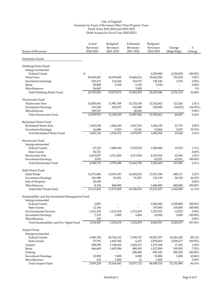| Source of Revenues                               | Actual<br>Revenues<br>2020-2021 | Budgeted<br>Revenues<br>2021-2022     | Estimated<br>Revenues<br>2021-2022    | Budgeted<br>Revenues<br>2022-2023 | Change<br>(Bdgt-Bdgt)    | $\%$<br>Change   |
|--------------------------------------------------|---------------------------------|---------------------------------------|---------------------------------------|-----------------------------------|--------------------------|------------------|
| Enterprise Funds                                 |                                 |                                       |                                       |                                   |                          |                  |
| Drinking Water Fund                              |                                 |                                       |                                       |                                   |                          |                  |
| Intergovernmental                                |                                 |                                       |                                       |                                   |                          |                  |
| <b>Federal Grants</b>                            | \$                              |                                       |                                       | 4,250,000                         | 4,250,000                | 100.00%          |
| <b>Water Fees</b>                                | 20,493,491                      | 18,939,698                            | 19,449,216                            | 19,662,250                        | 722,552                  | 3.82%            |
| <b>Investment Earnings</b>                       | 235,473                         | 134,424                               | 124,727                               | 138,186                           | 3,762                    | 2.80%            |
| Rents                                            | 20,000                          | 5,150                                 | 5,150                                 | 5,150                             | $\overline{\phantom{a}}$ | $0.00\%$         |
| Miscellaneous                                    | 36,865                          |                                       | 3,900                                 | $\overline{\phantom{a}}$          | $\overline{\phantom{a}}$ | $0\%$            |
| Total Drinking Water Fund                        | 20,785,829                      | 19,079,272                            | 19,582,993                            | 24,055,586                        | 4,976,314                | 26.08%           |
| Wastewater Fund                                  |                                 |                                       |                                       |                                   |                          |                  |
| <b>Wastewater Fees</b>                           | 14,005,043                      | 11,981,398                            | 12,724,150                            | 12,102,662                        | 121,264                  | 1.01%            |
| <b>Investment Earnings</b>                       | 165,549                         | 202,857                               | 145,000                               | 128,000                           | (74, 857)                | $(36.90\%)$      |
| Miscellaneous                                    | 189,327                         |                                       | 28,696                                |                                   |                          | $0.00\%$         |
| Total Wastewater Fund                            | 14,359,919                      | 12,184,255                            | 12,897,846                            | 12,230,662                        | 46,407                   | 0.38%            |
| Reclaimed Water Fund                             |                                 |                                       |                                       |                                   |                          |                  |
| Reclaimed Water Fees                             | 1,453,038                       | 1,046,439                             | 1,067,516                             | 1,068,158                         | 21,719                   | 2.08%            |
| <b>Investment Earnings</b>                       | 16,088                          | 9,933                                 | 12,341                                | 13,860                            | 3,927                    | 39.53%           |
| <b>Total Reclaimed Water Fund</b>                | 1,469,126                       | 1,056,372                             | 1,079,857                             | 1,082,018                         | 25,646                   | 2.43%            |
| Stormwater Fund                                  |                                 |                                       |                                       |                                   |                          |                  |
| Intergovernmental                                |                                 |                                       |                                       |                                   |                          |                  |
| <b>Federal Grants</b>                            | 47,122                          | 1,480,630                             | 7,332,932                             | 1,500,000                         | 19,370                   | 1.31%            |
| <b>State Grants</b>                              | 82,721                          |                                       | $\overline{a}$                        |                                   | $\overline{\phantom{a}}$ | $0.00\%$         |
| <b>Stormwater Fees</b>                           | 4,415,057                       | 4,311,858                             | 4,311,858                             | 4,355,418                         | 43,560                   | 1.01%            |
| <b>Investment Earnings</b>                       | 3,870                           |                                       |                                       | 65,051                            | 65,051                   | 100.00%          |
| Total Stormwater Fund                            | 4,548,770                       | 5,792,488                             | 11,644,790                            | 5,920,469                         | 127,981                  | 2.21%            |
| Solid Waste Fund                                 |                                 |                                       |                                       |                                   |                          |                  |
| Solid Waste                                      | 12,971,880                      | 13,053,187                            | 14,024,255                            | 13,741,358                        | 688,171                  | 5.27%            |
| <b>Investment Earnings</b>                       | 106,988                         | 81,821                                | 81,821                                | 118,139                           | 36,318                   | 44.39%           |
| Sale of Property                                 | 26,500                          | $\frac{1}{2}$                         | $\overline{\phantom{a}}$              | $\overline{\phantom{a}}$          | $\overline{\phantom{a}}$ | 0.00%            |
| Miscellaneous                                    | 8,124                           | 840,000                               | $\overline{\phantom{a}}$              | 1,680,000                         | 840,000                  | 100.00%          |
| Total Solid Waste Fund                           | 13,113,492                      | 13,975,008                            | 14,106,076                            | 15,539,497                        | 1,564,489                | 11.19%           |
| Sustainability and Environmental Management Fund |                                 |                                       |                                       |                                   |                          |                  |
| Intergovernmental                                |                                 |                                       |                                       |                                   |                          |                  |
| <b>Federal Grants</b>                            | 2,851                           |                                       |                                       | 3,500,000                         | 3,500,000                | 100.00%          |
| <b>State Grants</b>                              | 12,146                          | $\overline{\phantom{a}}$              | $\overline{\phantom{0}}$              | 105,000                           | 105,000                  | 100.00%          |
| <b>Environmental Services</b>                    | 1,212,258                       | 1,213,478                             | 1,213,478                             | 1,225,551                         | 12,073                   | 0.99%            |
| <b>Investment Earnings</b>                       | 7,152                           | 5,000                                 | 5,000                                 | 10,000                            | 5,000                    | 100.00%          |
| Miscellaneous                                    | 100<br>1,234,507                | $\overline{\phantom{a}}$<br>1,218,478 | $\overline{\phantom{a}}$<br>1,218,478 | 4,840,551                         | 3,622,073                | 0.00%<br>297.26% |
| Total Sustainability and Env Mgmt Fund           |                                 |                                       |                                       |                                   |                          |                  |
| Airport Fund                                     |                                 |                                       |                                       |                                   |                          |                  |
| Intergovernmental<br><b>Federal Grants</b>       |                                 |                                       |                                       |                                   |                          |                  |
| <b>State Grants</b>                              | 3,949,750                       | 20,746,132                            | 7,789,757                             | 39,027,557                        | 18,281,425               | 88.12%           |
|                                                  | 70,791<br>958,392               | 1,847,392                             | 6,457<br>1,645,137                    | 3,878,069<br>1,175,390            | 2,030,677<br>17,365      | 109.92%<br>1.50% |
| Airport<br>Rents                                 | 966,689                         | 1,158,025<br>1,407,096                | 888,345                               | 1,512,999                         | 105,903                  | 7.53%            |
| Parking                                          |                                 |                                       | 200,000                               | 893,520                           | 893,520                  | 100.00%          |
| <b>Investment Earnings</b>                       | 12,982                          | 7,000                                 | 8,000                                 | 10,000                            | 3,000                    | 42.86%           |
| Miscellaneous                                    | 635                             | 1,000                                 | 16                                    | 1,000                             |                          | $0.00\%$         |
| <b>Total Airport Fund</b>                        | 5,959,239                       | 25,166,645                            | 10,537,712                            | 46,498,535                        | 21,331,890               | 84.76%           |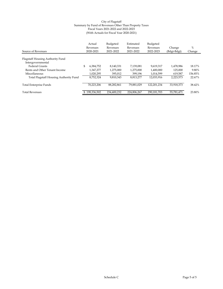| Source of Revenues                     | Actual<br>Revenues<br>2020-2021 | Budgeted<br>Revenues<br>2021-2022 | Estimated<br>Revenues<br>2021-2022 | Budgeted<br>Revenues<br>2022-2023 | Change<br>(Bdgt-Bdgt) | %<br>Change |
|----------------------------------------|---------------------------------|-----------------------------------|------------------------------------|-----------------------------------|-----------------------|-------------|
| Flagstaff Housing Authority Fund       |                                 |                                   |                                    |                                   |                       |             |
| Intergovernmental                      |                                 |                                   |                                    |                                   |                       |             |
| <b>Federal Grants</b>                  | \$<br>6.384.752                 | 8.140.331                         | 7.139.081                          | 9.619.317                         | 1.478.986             | 18.17%      |
| Rents and Other Tenant Income          | 1.347.277                       | 1,275,000                         | 1,275,000                          | 1,400,000                         | 125,000               | 9.80%       |
| Miscellaneous                          | 1,020,295                       | 395,012                           | 399,196                            | 1.014.599                         | 619,587               | 156.85%     |
| Total Flagstaff Housing Authority Fund | 8,752,324                       | 9,810,343                         | 8,813,277                          | 12,033,916                        | 2,223,573             | 22.67%      |
| Total Enterprise Funds                 | 70,223,206                      | 88,282,861                        | 79.881.029                         | 122.201.234                       | 33,918,373            | 38.42%      |
| <b>Total Revenues</b>                  | \$198,336,502                   | 234,400,232                       | 224,806,267                        | 290.181.703                       | 55.781.471            | 23.80%      |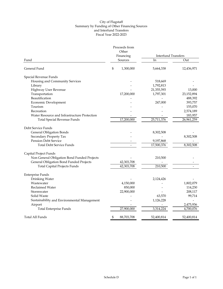# City of Flagstaff Summary by Funding of Other Financing Sources and Interfund Transfers Fiscal Year 2022-2023

|                                              | Proceeds from      |                            |            |
|----------------------------------------------|--------------------|----------------------------|------------|
|                                              | Other<br>Financing | <b>Interfund Transfers</b> |            |
| Fund                                         | Sources            | In                         | Out        |
| General Fund                                 | \$<br>1,300,000    | 5,664,338                  | 12,436,971 |
| Special Revenue Funds                        |                    |                            |            |
| Housing and Community Services               |                    | 518,669                    |            |
| Library                                      |                    | 1,792,813                  |            |
| Highway User Revenue                         |                    | 21,355,593                 | 13,000     |
| Transportation                               | 17,200,000         | 1,797,301                  | 23,152,894 |
| Beautification                               |                    | $\overline{\phantom{0}}$   | 488,392    |
| Economic Development                         |                    | 247,000                    | 393,757    |
| Tourism                                      |                    |                            | 155,070    |
| Recreation                                   |                    |                            | 2,574,189  |
| Water Resource and Infrastructure Protection |                    |                            | 183,957    |
| <b>Total Special Revenue Funds</b>           | 17,200,000         | 25,711,376                 | 26,961,259 |
| Debt Service Funds                           |                    |                            |            |
| <b>General Obligation Bonds</b>              |                    | 8,302,508                  |            |
| Secondary Property Tax                       |                    |                            | 8,302,508  |
| <b>Pension Debt Service</b>                  |                    | 9,197,868                  |            |
| <b>Total Debt Service Funds</b>              |                    | 17,500,376                 | 8,302,508  |
| Capital Project Funds                        |                    |                            |            |
| Non General Obligation Bond Funded Projects  |                    | 210,500                    |            |
| General Obligation Bond Funded Projects      | 42,303,708         |                            |            |
| <b>Total Capital Projects Funds</b>          | 42,303,708         | 210,500                    |            |
| <b>Enterprise Funds</b>                      |                    |                            |            |
| Drinking Water                               |                    | 2,124,426                  |            |
| Wastewater                                   | 4,150,000          |                            | 1,802,079  |
| Reclaimed Water                              | 850,000            |                            | 114,230    |
| Stormwater                                   | 22,900,000         |                            | 208,117    |
| Solid Waste                                  |                    | 63,570                     | 99,714     |
| Sustainability and Environmental Management  |                    | 1,126,228                  |            |
| Airport                                      |                    |                            | 2,475,936  |
| <b>Total Enterprise Funds</b>                | 27,900,000         | 3,314,224                  | 4,700,076  |
| <b>Total All Funds</b>                       | \$<br>88,703,708   | 52,400,814                 | 52,400,814 |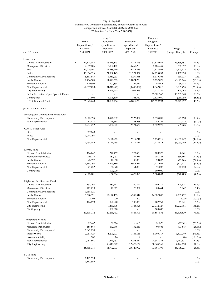|                                        |                  | Adopted                  |                          | Proposed                 |                          |                    |
|----------------------------------------|------------------|--------------------------|--------------------------|--------------------------|--------------------------|--------------------|
|                                        | Actual           | Budgeted                 | Estimated                | Budgeted                 |                          |                    |
|                                        | Expenditures/    | Expenditures/            | Expenditures/            | Expenditures/            |                          |                    |
|                                        | Expenses         | Expenses                 | Expenses                 | Expenses                 | Change                   | $\%$               |
| Fund/Division                          | 2020-2021        | 2021-2022                | 2021-2022                | 2022-2023                | (Budget-Budget)          | Change             |
| General Fund                           |                  |                          |                          |                          |                          |                    |
| General Administration                 | \$<br>11,378,043 | 16,816,843               | 13,171,816               | 32,676,034               | 15,859,191               | 94.3%              |
| <b>Management Services</b>             | 4,057,286        | 5,002,102                | 4,665,288                | 5,684,459                | 682,357                  | 13.6%              |
| Fire                                   | 11,215,001       | 17,488,590               | 16,813,243               | 21,912,503               | 4,423,913                | 25.3%              |
| Police                                 | 18,916,316       | 21,887,143               | 21,221,952               | 24,025,033               | 2,137,890                | 9.8%               |
| Community Development                  | 5,197,943        | 4,581,233                | 4,279,058                | 5,019,306                | 438,073                  | 9.6%               |
| Public Works                           | 7,456,505        | 14,978,665               | 10,874,279               | 5,157,021                | (9,821,644)              | $(65.6\%)$         |
| Economic Vitality                      | 119,599          | 202,834                  | 127,834                  | 258,918                  | 56,084                   | 27.7%              |
| Non-Departmental                       | (2,519,050)      | (1,346,977)              | (3,646,954)              | 8,362,818                | 9,709,795                | $(720.9\%)$        |
| City Engineering                       |                  | 1,999,513                | 1,944,513                | 2,124,281                | 124,768                  | 6.2%               |
| Parks, Recreation, Open Space & Events |                  | ÷.                       | ä,                       | 13,381,360               | 13,381,360               | 100.0%             |
|                                        | 24,006           | 3,196,810                | 368,750                  | 2,928,060                |                          |                    |
| Contingency<br>Total General Fund      | 55,845,649       | 84,806,756               | 69,819,779               | 121,529,793              | (268, 750)<br>36,723,037 | $(8.4\%)$<br>43.3% |
| Special Revenue Funds                  |                  |                          |                          |                          |                          |                    |
|                                        |                  |                          |                          |                          |                          |                    |
| Housing and Community Service Fund     |                  |                          |                          |                          |                          |                    |
| Community Development                  | 1,865,395        | 4,971,337                | 2,122,864                | 5,913,035                | 941,698                  | 18.9%              |
| Non-Departmental                       | 68,877           | 48,668                   | 48,668                   | 46,235                   | (2, 433)                 | $(5.0\%)$          |
| COVID Relief Fund                      | 1,934,272        | 5,020,005                | 2,171,532                | 5,959,270                | 939,265                  | 18.7%              |
| Fire                                   | 889,748          |                          |                          |                          |                          | 0.0%               |
| Police                                 | 1,044,298        |                          | ä                        |                          | $\overline{\phantom{a}}$ | 0.0%               |
| Non-Departmental                       |                  | 6,171,965                | 2,119,741                | 3,118,516                | (3,053,449)              | $(49.5\%)$         |
|                                        | 1,934,046        | 6,171,965                | 2,119,741                | 3,118,516                | (3,053,449)              | $(49.5\%)$         |
|                                        |                  |                          |                          |                          |                          |                    |
| Library Fund                           |                  |                          |                          |                          |                          |                    |
| General Administration                 | 184,047          | 272,459                  | 272,459                  | 280,520                  | 8,061                    | 3.0%               |
| <b>Management Services</b>             | 209,713          | 187,931                  | 187,931                  | 151,324                  | (36, 607)                | (19.5%)            |
| Public Works                           | 43,397           | 40,058                   | 40,058                   | 28,892                   | (11, 166)                | (27.9%)            |
| <b>Economic Vitality</b>               | 4,394,792        | 7,495,180                | 5,916,569                | 7,174,059                | (321, 121)               | $(4.3\%)$          |
| Non-Departmental                       | 71,752           | 61,878                   | 61,878                   | 74,008                   | 12,130                   | 19.6%              |
| Contingency                            |                  | 100,000                  |                          | 100,000                  |                          | 0.0%               |
|                                        | 4,903,701        | 8,157,506                | 6,478,895                | 7,808,803                | (348,703)                | $(4.3\%)$          |
| Highway User Revenue Fund              |                  |                          |                          |                          |                          |                    |
| General Administration                 | 138,764          | 280,797                  | 280,797                  | 409,111                  | 128,314                  | 45.7%              |
| <b>Management Services</b>             | 201,018          | 78,002                   | 78,002                   | 80,664                   | 2,662                    | 3.4%               |
| Community Development                  | 1,468,024        |                          |                          |                          |                          | 0.0%               |
| Public Works                           | 8,568,321        | 12,177,155               | 6,550,542                | 14,382,887               | 2,205,732                | 18.1%              |
| <b>Economic Vitality</b>               | 2,706            | 220                      | 220                      |                          | (220)                    | $(100.0\%)$        |
| Non-Departmental                       | 126,879          | 190,920                  | 190,920                  | 202,761                  | 11,841                   | 6.2%               |
| City Engineering                       |                  | 9,439,638                | 1,745,825                | 23,712,129               | 14,272,491               | 151.2%             |
| Contingency                            |                  | 100,000                  |                          | 100,000                  |                          | $0.0\%$            |
|                                        | 10,505,712       | 22,266,732               | 8,846,306                | 38,887,552               | 16,620,820               | 74.6%              |
| Transportation Fund                    |                  |                          |                          |                          |                          |                    |
| General Administration                 | 72,462           | 68,686                   | 68,686                   | 51,325                   | (17, 361)                | (25.3%)            |
| <b>Management Services</b>             | 188,863          | 132,446                  | 132,446                  | 98,601                   | (33, 845)                |                    |
| Community Development                  | 9,042,855        |                          |                          |                          |                          | $(25.6\%)$         |
|                                        |                  |                          |                          |                          | 3,807,240                | $0.0\%$<br>294.3%  |
| Public Works                           | 2,061,427        | 1,293,477                | 1,166,115                | 5,100,717                |                          |                    |
| <b>Economic Vitality</b>               | 748<br>7,498,961 | 86                       | 86                       |                          | (86)                     | $(100.0\%)$        |
| Non-Departmental                       |                  | 9,579,751                | 6,278,437                | 14,347,388               | 4,767,637                | 49.8%              |
| City Engineering                       | 18,865,316       | 50,918,527<br>61,992,973 | 12,475,132<br>20,120,902 | 58,363,165<br>77,961,196 | 7,444,638<br>15,968,223  | 14.6%<br>25.8%     |
|                                        |                  |                          |                          |                          |                          |                    |
| FUTS Fund                              |                  |                          |                          |                          |                          |                    |
| Community Development                  | 1,162,550        |                          |                          |                          |                          | 0.0%               |
|                                        | 1,162,550        |                          |                          |                          |                          | $0.0\%$            |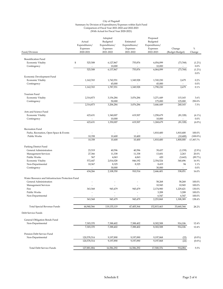|                                                   | Actual<br>Expenditures/<br>Expenses | Adopted<br>Budgeted<br>Expenditures/<br>Expenses | Estimated<br>Expenditures/<br>Expenses | Proposed<br>Budgeted<br>Expenditures/<br>Expenses | Change             | %                |
|---------------------------------------------------|-------------------------------------|--------------------------------------------------|----------------------------------------|---------------------------------------------------|--------------------|------------------|
| Fund/Division                                     | 2020-2021                           | 2021-2022                                        | 2021-2022                              | 2022-2023                                         | (Budget-Budget)    | Change           |
| <b>Beautification Fund</b>                        |                                     |                                                  |                                        |                                                   |                    |                  |
| <b>Economic Vitality</b>                          | \$<br>525,508                       | 6,127,867                                        | 755,876                                | 6,054,099                                         | (73,768)           | $(1.2\%)$        |
| Contingency                                       |                                     | 10,000                                           |                                        | 10,000                                            |                    | 0.0%             |
|                                                   | 525,508                             | 6,137,867                                        | 755,876                                | 6,064,099                                         | (73, 768)          | $(1.2\%)$        |
|                                                   |                                     |                                                  |                                        |                                                   |                    | 0.0%             |
| Economic Development Fund                         |                                     |                                                  |                                        |                                                   |                    |                  |
| Economic Vitality                                 | 1,162,765                           | 1,742,551                                        | 1,349,928                              | 1,745,230                                         | 2,679              | 0.2%             |
| Contingency                                       |                                     | 45,000                                           |                                        | 45,000                                            |                    | 0.0%             |
|                                                   | 1,162,765                           | 1,787,551                                        | 1,349,928                              | 1,790,230                                         | 2,679              | 0.1%             |
|                                                   |                                     |                                                  |                                        |                                                   |                    |                  |
| Tourism Fund                                      |                                     |                                                  |                                        |                                                   |                    |                  |
| <b>Economic Vitality</b>                          | 2,314,873                           | 3,156,284                                        | 3,076,284                              | 3,271,449                                         | 115,165            | 3.6%             |
| Contingency                                       |                                     | 50,000                                           |                                        | 175,000                                           | 125,000            | 250.0%           |
|                                                   | 2,314,873                           | 3,206,284                                        | 3,076,284                              | 3,446,449                                         | 240,165            | 7.5%             |
|                                                   |                                     |                                                  |                                        |                                                   |                    |                  |
| Arts and Science Fund                             |                                     |                                                  |                                        |                                                   |                    |                  |
| Economic Vitality                                 | 623,631                             | 1,340,007                                        | 619,507                                | 1,258,679                                         | (81, 328)          | $(6.1\%)$        |
| Contingency                                       |                                     | 10,000                                           |                                        | 10,000                                            |                    | 0.0%             |
|                                                   | 623,631                             | 1,350,007                                        | 619,507                                | 1,268,679                                         | (81, 328)          | $(6.0\%)$        |
|                                                   |                                     |                                                  |                                        |                                                   |                    |                  |
| Recreation Fund                                   |                                     |                                                  |                                        |                                                   |                    |                  |
| Parks, Recreation, Open Space & Events            | ä,                                  | ä,                                               |                                        | 1,810,400                                         | 1,810,400          | 100.0%           |
| Public Works                                      | 10,358                              | 10,400                                           | 10.400                                 |                                                   | (10, 400)          | $(100.0\%)$      |
|                                                   | 10,358                              | 10,400                                           | 10,400                                 | 1,810,400                                         | 1,800,000          | 17,307.7%        |
| Parking District Fund                             |                                     |                                                  |                                        |                                                   |                    |                  |
| General Administration                            | 23,519                              | 40,596                                           | 40,596                                 | 39,437                                            | (1, 159)           | $(2.9\%)$        |
| <b>Management Services</b>                        | 27,366                              | 11,338                                           | 11,338                                 | 13,601                                            | 2,263              | 20.0%            |
| Public Works                                      | 567                                 | 4,063                                            | 4,063                                  | 420                                               | (3,643)            | (89.7%)          |
| <b>Economic Vitality</b>                          | 572,447                             | 2,014,028                                        | 846,192                                | 2,354,524                                         | 340,496            | 16.9%            |
| Non-Departmental                                  | 10,367                              | 8,325                                            | 8,325                                  | 8,419                                             | 94                 | 1.1%             |
| Contingency                                       |                                     | 30,000                                           | ä,                                     | 30,000                                            |                    | 0.0%             |
|                                                   | 634,266                             | 2,108,350                                        | 910,514                                | 2,446,401                                         | 338,051            | 16.0%            |
|                                                   |                                     |                                                  |                                        |                                                   |                    |                  |
| Water Resource and Infrastructure Protection Fund |                                     |                                                  |                                        |                                                   |                    |                  |
| General Administration                            |                                     |                                                  |                                        | 58,268                                            | 58,268             | 100.0%           |
| <b>Management Services</b>                        |                                     |                                                  |                                        | 10,945                                            | 10,945             | 100.0%           |
| Fire                                              | 363,568                             | 945,479                                          | 945,479                                | 2,174,900                                         | 1,229,421          | 130.0%           |
| Public Works                                      | L,                                  | ۳                                                | ä,                                     | 3,208                                             | 3,208              | 100.0%           |
| Non-Departmental                                  | $\tilde{\phantom{a}}$<br>363,568    | ٠<br>945,479                                     | $\tilde{\phantom{a}}$<br>945,479       | 6,547<br>2,253,868                                | 6,547<br>1,308,389 | 100.0%<br>138.4% |
|                                                   |                                     |                                                  |                                        |                                                   |                    |                  |
| Total Special Revenue Funds                       | 44,940,566                          | 119,155,119                                      | 47,405,364                             | 152,815,463                                       | 33,660,344         | 28.2%            |
| Debt Service Funds                                |                                     |                                                  |                                        |                                                   |                    |                  |
| General Obligation Bonds Fund                     |                                     |                                                  |                                        |                                                   |                    |                  |
| Non-Departmental                                  | 7,303,370                           | 7,388,402                                        | 7,388,402                              | 8,302,508                                         | 914,106            | 12.4%            |
|                                                   | 7,303,370                           | 7,388,402                                        | 7,388,402                              | 8,302,508                                         | 914,106            | 12.4%            |
| Pension Debt Service Fund                         |                                     |                                                  |                                        |                                                   |                    |                  |
| Non-Departmental                                  | 120,578,514                         | 9,197,890                                        | 9,197,890                              | 9,197,868                                         | (22)               | $(0.0\%)$        |
|                                                   | 120,578,514                         | 9,197,890                                        | 9,197,890                              | 9,197,868                                         | (22)               | $(0.0\%)$        |
|                                                   |                                     |                                                  |                                        |                                                   |                    |                  |
| Total Debt Service Funds                          | 127,881,884                         | 16,586,292                                       | 16,586,292                             | 17,500,376                                        | 914,084            | 5.5%             |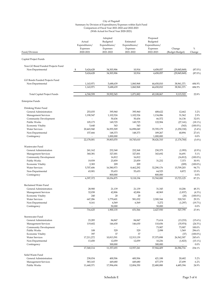|                                                     | Actual<br>Expenditures/ |                        | Adopted<br>Budgeted<br>Expenditures/ | Estimated<br>Expenditures/ | Proposed<br>Budgeted<br>Expenditures/ |                                  |                          |
|-----------------------------------------------------|-------------------------|------------------------|--------------------------------------|----------------------------|---------------------------------------|----------------------------------|--------------------------|
| Fund/Division                                       | Expenses<br>2020-2021   |                        | Expenses<br>2021-2022                | Expenses<br>2021-2022      | Expenses<br>2022-2023                 | Change<br>(Budget-Budget)        | $\%$<br>Change           |
| Capital Project Funds                               |                         |                        |                                      |                            |                                       |                                  |                          |
| Non GO Bond Funded Projects Fund                    |                         |                        |                                      |                            |                                       |                                  |                          |
| Non-Departmental                                    | \$                      | 5,624,628<br>5,624,628 | 34,303,906<br>34,303,906             | 10,914<br>10,914           | 4,458,057<br>4,458,057                | (29, 845, 849)<br>(29, 845, 849) | $(87.0\%)$<br>$(87.0\%)$ |
| GO Bonds Funded Projects Fund                       |                         |                        |                                      |                            |                                       |                                  |                          |
| Non-Departmental                                    |                         | 1,143,971              | 5,688,639                            | 1,060,968                  | 44,650,010                            | 38,961,371                       | 684.9%                   |
|                                                     |                         | 1,143,971              | 5,688,639                            | 1,060,968                  | 44,650,010                            | 38,961,371                       | 684.9%                   |
| Total Capital Project Funds                         |                         | 6,768,599              | 39,992,545                           | 1,071,882                  | 49,108,067                            | 9,115,522                        | 22.8%                    |
| Enterprise Funds                                    |                         |                        |                                      |                            |                                       |                                  |                          |
| Drinking Water Fund                                 |                         |                        |                                      |                            |                                       |                                  |                          |
| General Administration                              |                         | 253,035                | 395,960                              | 395,960                    | 408,622                               | 12,662                           | 3.2%                     |
| <b>Management Services</b><br>Community Development |                         | 1,190,547<br>L         | 1,102,524<br>50,436                  | 1,102,524<br>50,436        | 1,134,086<br>66,572                   | 31,562<br>16,136                 | 2.9%<br>32.0%            |
| Public Works                                        |                         | 105,173                | 149,725                              | 149,725                    | 122,584                               | (27, 141)                        | $(18.1\%)$               |
| Economic Vitality                                   |                         | 5,640                  | 543                                  | 543                        |                                       | (543)                            | $(100.0\%)$              |
| <b>Water Services</b>                               |                         | 20,465,940             | 36,955,509                           | 16,898,049                 | 35,705,179                            | (1,250,330)                      | $(3.4\%)$                |
| Non-Departmental                                    |                         | 157,666                | 148,373                              | 148,373                    | 189,267                               | 40,894                           | 27.6%                    |
| Contingency                                         | 22,178,001              | L                      | 1,000,000<br>39,803,070              | 18,745,610                 | 1,000,000<br>38,626,310               | (1, 176, 760)                    | $0.0\%$<br>$(3.0\%)$     |
| Wastewater Fund                                     |                         |                        |                                      |                            |                                       |                                  |                          |
| General Administration                              |                         | 241,162                | 232,368                              | 232,368                    | 230,375                               | (1,993)                          | $(0.9\%)$                |
| <b>Management Services</b>                          |                         | 360,381                | 327,001                              | 327,001                    | 343,692                               | 16,691                           | 5.1%                     |
| Community Development                               |                         | L                      | 16,812                               | 16,812                     |                                       | (16, 812)                        | $(100.0\%)$              |
| Public Works                                        |                         | 19,939                 | 23,859                               | 23,859                     | 31,232                                | 7,373                            | 30.9%                    |
| <b>Economic Vitality</b>                            |                         | 2,383                  | 209                                  | 209                        |                                       | (209)                            | $(100.0\%)$              |
| <b>Water Services</b><br>Non-Departmental           |                         | 5,707,606<br>65,901    | 16,580,973<br>55,653                 | 8,462,292<br>55,653        | 32,290,176<br>64,525                  | 15,709,203<br>8,872              | 94.7%<br>15.9%           |
| Contingency                                         |                         |                        | 800,000                              |                            | 800,000                               |                                  | $0.0\%$                  |
|                                                     |                         | 6,397,372              | 18,036,875                           | 9,118,194                  | 33,760,000                            | 15,723,125                       | 87.2%                    |
| Reclaimed Water Fund                                |                         |                        |                                      |                            |                                       |                                  |                          |
| General Administration                              |                         | 28,900<br>32,038       | 21,139<br>42,806                     | 21,139<br>42,806           | 31,345<br>40,969                      | 10,206                           | 48.3%                    |
| <b>Management Services</b><br>Economic Vitality     |                         | 240                    | 20                                   | 20                         | $\sim$                                | (1,837)<br>(20)                  | $(4.3\%)$<br>$(100.0\%)$ |
| <b>Water Services</b>                               |                         | 647,286                | 1,779,601                            | 581,032                    | 2,300,344                             | 520,743                          | 29.3%                    |
| Non-Departmental                                    |                         | 8,161                  | 6,569                                | 6,569                      | 5,272                                 | (1,297)                          | (19.7%)                  |
| Contingency                                         |                         | ÷,<br>716,625          | 50,000<br>1,900,135                  | 651,566                    | 50,000<br>2,427,930                   | 527,795                          | $0.0\%$<br>27.8%         |
| Stormwater Fund                                     |                         |                        |                                      |                            |                                       |                                  |                          |
| General Administration                              |                         | 23,285                 | 84,847                               | 84,847                     | 71,614                                | (13, 233)                        | $(15.6\%)$               |
| <b>Management Services</b>                          |                         | 119,602                | 146,630                              | 146,630                    | 110,656                               | (35, 974)                        | $(24.5\%)$               |
| Community Development                               |                         |                        |                                      |                            | 73,907                                | 73,907                           | 100.0%                   |
| Public Works<br><b>Economic Vitality</b>            |                         | 108<br>397             | 529<br>37                            | 529<br>37                  | 2,098                                 | 1,569                            | 296.6%<br>$(100.0\%)$    |
| <b>Water Services</b>                               | 17,211,272              |                        | 10,813,591                           | 12,313,139                 | 37,375,898                            | (37)<br>26,562,307               | 245.6%                   |
| Non-Departmental                                    |                         | 13,450                 | 12,059                               | 12,059                     | 10,236                                | (1,823)                          | $(15.1\%)$               |
| Contingency                                         | 17,368,114              | Ĭ.                     | 300,000<br>11,357,693                | ÷,<br>12,557,241           | 300,000<br>37,944,409                 | 26,586,716                       | 0.0%<br>234.1%           |
|                                                     |                         |                        |                                      |                            |                                       |                                  |                          |
| Solid Waste Fund<br>General Administration          |                         | 238,034                | 400,506                              | 400,506                    | 421,188                               | 20,682                           | 5.2%                     |
| <b>Management Services</b>                          |                         | 583,165                | 449,680                              | 449,680                    | 477,379                               | 27,699                           | 6.2%                     |
| Public Works                                        | 11,640,371              |                        | 17,994,694                           | 12,004,350                 | 22,480,088                            | 4,485,394                        | 24.9%                    |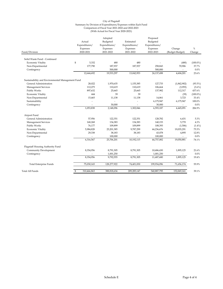| Fund/Division                                    |    | Actual<br>Expenditures/<br>Expenses<br>2020-2021 | Adopted<br>Budgeted<br>Expenditures/<br>Expenses<br>2021-2022 | Estimated<br>Expenditures/<br>Expenses<br>2021-2022 | Proposed<br>Budgeted<br>Expenditures/<br>Expenses<br>2022-2023 | Change<br>(Budget-Budget) | $\%$<br>Change |
|--------------------------------------------------|----|--------------------------------------------------|---------------------------------------------------------------|-----------------------------------------------------|----------------------------------------------------------------|---------------------------|----------------|
|                                                  |    |                                                  |                                                               |                                                     |                                                                |                           |                |
| Solid Waste Fund - Continued                     |    |                                                  |                                                               |                                                     |                                                                |                           |                |
| Economic Vitality                                | \$ | 5,332                                            | 480                                                           | 480                                                 |                                                                | (480)                     | $(100.0\%)$    |
| Non-Departmental                                 |    | 177,790                                          | 187,937                                                       | 187,937                                             | 258,843                                                        | 70,906                    | 37.7%          |
| Contingency                                      |    | $\overline{\phantom{a}}$                         | 500,000                                                       | $\overline{\phantom{a}}$                            | 500,000                                                        | $\sim$                    | 0.0%           |
|                                                  |    | 12,644,692                                       | 19,533,297                                                    | 13,042,953                                          | 24,137,498                                                     | 4,604,201                 | 23.6%          |
| Sustainability and Environmental Management Fund |    |                                                  |                                                               |                                                     |                                                                |                           |                |
| General Administration                           |    | 28,022                                           | 1,970,635                                                     | 1,155,385                                           | 127,733                                                        | (1,842,902)               | $(93.5\%)$     |
| Management Services                              |    | 112,275                                          | 110,619                                                       | 110,619                                             | 106,664                                                        | (3,955)                   | $(3.6\%)$      |
| <b>Public Works</b>                              |    | 897,632                                          | 25,665                                                        | 25,665                                              | 137,982                                                        | 112,317                   | 437.6%         |
| Economic Vitality                                |    | 444                                              | 39                                                            | 39                                                  | $\overline{\phantom{a}}$                                       | (39)                      | $(100.0\%)$    |
| Non-Departmental                                 |    | 15,465                                           | 11,138                                                        | 11,138                                              | 14,861                                                         | 3,723                     | 33.4%          |
| Sustainability                                   |    | ä,                                               | ä,                                                            | J,                                                  | 6,175,947                                                      | 6,175,947                 | 100.0%         |
| Contingency                                      |    | $\overline{\phantom{a}}$                         | 30,000                                                        |                                                     | 30,000                                                         | $\overline{\phantom{a}}$  | 0.0%           |
|                                                  |    | 1,053,838                                        | 2,148,096                                                     | 1,302,846                                           | 6,593,187                                                      | 4,445,091                 | 206.9%         |
| Airport Fund                                     |    |                                                  |                                                               |                                                     |                                                                |                           |                |
| General Administration                           |    | 57,956                                           | 122,351                                                       | 122,351                                             | 128,782                                                        | 6,431                     | 5.3%           |
| Management Services                              |    | 168,268                                          | 134,383                                                       | 134,383                                             | 140,153                                                        | 5,770                     | 4.3%           |
| Public Works                                     |    | 76,177                                           | 109,899                                                       | 109,899                                             | 108,393                                                        | (1,506)                   | $(1.4\%)$      |
| Economic Vitality                                |    | 5,984,828                                        | 25,201,385                                                    | 9,787,299                                           | 44,236,676                                                     | 19,035,291                | 75.5%          |
| Non-Departmental                                 |    | 29,338                                           | 38,183                                                        | 38,183                                              | 43,078                                                         | 4,895                     | 12.8%          |
| Contingency                                      |    | $\overline{\phantom{a}}$                         | 100,000                                                       | $\overline{\phantom{a}}$                            | 100,000                                                        | $\overline{\phantom{a}}$  | 0.0%           |
|                                                  |    | 6,316,567                                        | 25,706,201                                                    | 10,192,115                                          | 44,757,082                                                     | 19,050,881                | 74.1%          |
| Flagstaff Housing Authority Fund                 |    |                                                  |                                                               |                                                     |                                                                |                           |                |
| Community Development                            |    | 8,354,956                                        | 8,791,305                                                     | 8,791,305                                           | 10,686,430                                                     | 1,895,125                 | 21.6%          |
| Contingency                                      |    |                                                  | 1,001,250                                                     | ä,                                                  | 1,001,250                                                      |                           | 0.0%           |
|                                                  |    | 8,354,956                                        | 9,792,555                                                     | 8,791,305                                           | 11,687,680                                                     | 1,895,125                 | 19.4%          |
| <b>Total Enterprise Funds</b>                    |    | 75,030,165                                       | 128,277,922                                                   | 74,401,830                                          | 199,934,096                                                    | 71,656,174                | 55.9%          |
| Total All Funds                                  | \$ | 310,466,863                                      | 388,818,634                                                   | 209,285,147                                         | 540,887,795                                                    | 152,069,161               | 39.1%          |
|                                                  |    |                                                  |                                                               |                                                     |                                                                |                           |                |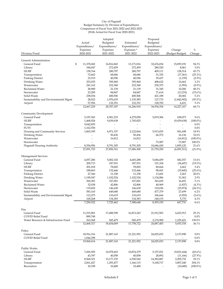## City of Flagstaff Budget Summary by Division of Expenditures Comparison of Fiscal Year 2021-2022 and 2022-2023 (With Actual for Fiscal Year 2020-2021)

|                                       |                         | Adopted                  |                          | Proposed      |                          |              |
|---------------------------------------|-------------------------|--------------------------|--------------------------|---------------|--------------------------|--------------|
|                                       | Actual                  | Budgeted                 | Estimated                | Budgeted      |                          |              |
|                                       | Expenditures/           | Expenditures/            | Expenditures/            | Expenditures/ |                          |              |
|                                       | Expenses                | Expenses                 | Expenses *               | Expenses      | Change                   | $\%$         |
| Division/Fund                         | 2020-2021               | 2021-2022                | 2021-2022                | 2022-2023     | (Budget-Budget)          | Change       |
|                                       |                         |                          |                          |               |                          |              |
| General Administration                |                         |                          |                          |               |                          |              |
| General Fund                          | \$<br>11,378,043        | 16,816,843               | 13,171,816               | 32,676,034    | 15,859,191               | 94.3%        |
| Library                               | 184,047                 | 272,459                  | 272,459                  | 280,520       | 8,061                    | 3.0%         |
| <b>HURF</b>                           | 138,764                 | 280,797                  | 280,797                  | 409,111       | 128,314                  | 45.7%        |
| Transportation                        | 72,462                  | 68,686                   | 68,686                   | 51,325        | (17, 361)                | (25.3%)      |
| Parking District                      | 23,519                  | 40,596                   | 40,596                   | 39,437        | (1, 159)                 | $(2.9\%)$    |
| Drinking Water                        | 253,035                 | 395,960                  | 395,960                  | 408,622       | 12,662                   | 3.2%         |
| Wastewater                            | 241,162                 | 232,368                  | 232,368                  | 230,375       | (1,993)                  | $(0.9\%)$    |
| Reclaimed Water                       | 28,900                  | 21,139                   | 21,139                   | 31,345        | 10,206                   | 48.3%        |
| Stormwater                            | 23,285                  | 84,847                   | 84,847                   | 71,614        | (13, 233)                | $(15.6\%)$   |
| Solid Waste                           | 238,034                 | 400,506                  | 400,506                  | 421,188       | 20,682                   | 5.2%         |
| Sustainability and Environmental Mgmt | 28,022                  | 1,970,635                | 1,155,385                | 127,733       | (1,842,902)              | $(93.5\%)$   |
| Airport                               | 57,956                  | 122,351                  | 122,351                  | 128,782       | 6,431                    | 5.3%         |
|                                       | 12,667,229              | 20,707,187               | 16,246,910               | 34,934,354    | 14,227,167               | 68.7%        |
| Community Development                 |                         |                          |                          |               |                          |              |
|                                       | 5,197,943               |                          |                          |               | 438,073                  |              |
| General Fund                          |                         | 4,581,233                | 4,279,058                | 5,019,306     |                          | 9.6%         |
| <b>HURF</b>                           | 1,468,024               | 9,439,638                | 1,745,825                |               | (9,439,638)              | $(100.0\%)$  |
| Transportation                        | 9,042,855               | $\overline{\phantom{a}}$ | $\overline{\phantom{0}}$ |               | $\overline{\phantom{a}}$ | $0.0\%$      |
| <b>FUTS</b>                           | 1,162,550               | $\overline{a}$           |                          |               | $\overline{\phantom{a}}$ | 0.0%         |
| Housing and Community Services        | 1,865,395               | 4,971,337                | 2,122,864                | 5,913,035     | 941,698                  | 18.9%        |
| Drinking Water                        |                         | 50,436                   | 50,436                   | 66,572        | 16,136                   | 32.0%        |
| Wastewater                            |                         | 16,812                   | 16,812                   |               | (16, 812)                | $(100.0\%)$  |
| Stormwater                            |                         |                          |                          | 73,907        | 73,907                   | 100.0%       |
| <b>Flagstaff Housing Authority</b>    | 8,354,956               | 8,791,305                | 8,791,305                | 10,686,430    | 1,895,125                | 21.6%        |
|                                       | 27,091,723              | 27,850,761               | 17,006,300               | 21,759,250    | (6,091,511)              | (21.9%)      |
| Management Services                   |                         |                          |                          |               |                          |              |
| General Fund                          | 4,057,286               | 5,002,102                | 4,665,288                | 5,684,459     | 682,357                  | 13.6%        |
| Library                               | 209,713                 | 187,931                  | 187,931                  | 151,324       | (36,607)                 | (19.5%)      |
| <b>HURF</b>                           | 201,018                 | 78,002                   | 78,002                   | 80,664        | 2,662                    | 3.4%         |
| Transportation                        | 188,863                 | 132,446                  | 132,446                  | 98,601        | (33, 845)                | $(25.6\%)$   |
| Parking District                      | 27,366                  | 11,338                   | 11,338                   | 13,601        | 2,263                    | 20.0%        |
| Drinking Water                        | 1,190,547               | 1,102,524                | 1,102,524                | 1,134,086     | 31,562                   | 2.9%         |
| Wastewater                            | 360,381                 | 327,001                  | 327,001                  | 343,692       | 16,691                   | 5.1%         |
| Reclaimed Water                       | 32,038                  | 42,806                   | 42,806                   | 40,969        |                          |              |
|                                       |                         |                          |                          |               | (1,837)                  | $(4.3\%)$    |
| Stormwater                            | 119,602                 | 146,630                  | 146,630                  | 110,656       | (35, 974)                | (24.5%)      |
| Solid Waste                           | 583,165                 | 449,680                  | 449,680                  | 477,379       | 27,699                   | 6.2%         |
| Sustainability and Environmental Mgmt | 112,275                 | 110,619                  | 110,619                  | 106,664       | (3,955)                  | $(3.6\%)$    |
| Airport                               | 168,268                 | 134,383                  | 134,383                  | 140,153       | 5,770                    | 4.3%         |
|                                       | 7,250,522               | 7,725,462                | 7,388,648                | 8,393,193     | 667,731                  | 8.6%         |
| Fire                                  |                         |                          |                          |               |                          |              |
| General Fund                          | 11,215,001              | 17,488,590               | 16,813,243               | 21,912,503    | 4,423,913                | 25.3%        |
| <b>COVID Relief Fund</b>              | 889,748                 |                          |                          |               | $\overline{a}$           | 0.0%         |
| Water Resource & Infrastructure Fund  | 363,568                 | 945,479                  | 945,479                  | 2,174,900     | 1,229,421                | 130.0%       |
|                                       | 12,468,317              | 18,434,069               | 17,758,722               | 24,087,403    | 5,653,334                | 30.7%        |
|                                       |                         |                          |                          |               |                          |              |
| Police<br>General Fund                | 18,916,316              | 21,887,143               | 21,221,952               | 24,025,033    | 2,137,890                | 9.8%         |
|                                       |                         |                          |                          |               |                          |              |
| <b>COVID Relief Fund</b>              | 1,044,298<br>19,960,614 | 21,887,143               | 21,221,952               | 24,025,033    | 2,137,890                | 0.0%<br>9.8% |
|                                       |                         |                          |                          |               |                          |              |
| Public Works                          |                         |                          |                          |               |                          |              |
| General Fund                          | 7,456,505               | 14,978,665               | 10,874,279               | 5,157,021     | (9,821,644)              | $(65.6\%)$   |
| Library                               | 43,397                  | 40,058                   | 40,058                   | 28,892        | (11, 166)                | (27.9%)      |
| <b>HURF</b>                           | 8,568,321               | 12,177,155               | 6,550,542                | 14,382,887    | 2,205,732                | 18.1%        |
| Transportation                        | 2,061,427               | 1,293,477                | 1,166,115                | 5,100,717     | 3,807,240                | 294.3%       |
| Recreation                            | 10,358                  | 10,400                   | 10,400                   |               | (10, 400)                | $(100.0\%)$  |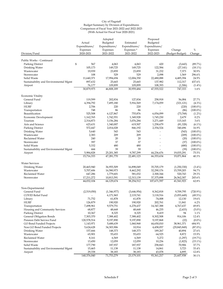## City of Flagstaff Budget Summary by Division of Expenditures Comparison of Fiscal Year 2021-2022 and 2022-2023 (With Actual for Fiscal Year 2020-2021)

| Division/Fund                         | Actual<br>Expenditures/<br>Expenses<br>2020-2021 | Adopted<br>Budgeted<br>Expenditures/<br>Expenses<br>2021-2022 | Estimated<br>Expenditures/<br>Expenses*<br>2021-2022 | Proposed<br>Budgeted<br>Expenditures/<br>Expenses<br>2022-2023 | Change<br>(Budget-Budget) | %<br>Change         |
|---------------------------------------|--------------------------------------------------|---------------------------------------------------------------|------------------------------------------------------|----------------------------------------------------------------|---------------------------|---------------------|
|                                       |                                                  |                                                               |                                                      |                                                                |                           |                     |
| Public Works - Continued              |                                                  |                                                               |                                                      |                                                                |                           |                     |
| <b>Parking District</b>               | \$<br>567                                        | 4,063                                                         | 4,063                                                | 420                                                            | (3,643)                   | (89.7%)             |
| Drinking Water                        | 105,173                                          | 149,725                                                       | 149,725                                              | 122,584                                                        | (27, 141)                 | $(18.1\%)$          |
| Wastewater                            | 19,939                                           | 23,859                                                        | 23,859                                               | 31,232                                                         | 7,373                     | 30.9%               |
| Stormwater<br>Solid Waste             | 108<br>11,640,371                                | 529<br>17,994,694                                             | 529<br>12,004,350                                    | 2,098<br>22,480,088                                            | 1,569<br>4,485,394        | 296.6%<br>24.9%     |
| Sustainability and Environmental Mgmt | 897,632                                          | 25,665                                                        | 25,665                                               | 137,982                                                        | 112,317                   | 437.6%              |
| Airport                               | 76,177                                           | 109,899                                                       | 109,899                                              | 108,393                                                        | (1,506)                   | $(1.4\%)$           |
|                                       | 30,879,975                                       | 46,808,189                                                    | 30,959,484                                           | 47,555,522                                                     | 747,333                   | 1.6%                |
| <b>Economic Vitality</b>              |                                                  |                                                               |                                                      |                                                                |                           |                     |
| General Fund                          | 119,599                                          | 202,834                                                       | 127,834                                              | 258,918                                                        | 56,084                    | 27.7%               |
| Library                               | 4,394,792                                        | 7,495,180                                                     | 5,916,569                                            | 7,174,059                                                      | (321, 121)                | $(4.3\%)$           |
| <b>HURF</b>                           | 2,706                                            | 220                                                           | 220                                                  |                                                                | (220)                     | $(100.0\%)$         |
| Transportation                        | 748                                              | 86                                                            | 86                                                   |                                                                | (86)                      | $(100.0\%)$         |
| Beautification                        | 525,508                                          | 6,127,867                                                     | 755,876                                              | 6,054,099                                                      | (73, 768)                 | $(1.2\%)$           |
| Economic Development                  | 1,162,765                                        | 1,742,551                                                     | 1,349,928                                            | 1,745,230                                                      | 2,679                     | 0.2%                |
| Tourism                               | 2,314,873                                        | 3,156,284                                                     | 3,076,284                                            | 3,271,449                                                      | 115,165                   | 3.6%                |
| Arts and Science                      | 623,631                                          | 1,340,007                                                     | 619,507                                              | 1,258,679                                                      | (81, 328)                 | $(6.1\%)$           |
| Parking District                      | 572,447                                          | 2,014,028                                                     | 846,192                                              | 2,354,524                                                      | 340,496                   | 16.9%               |
| Drinking Water                        | 5,640                                            | 543                                                           | 543                                                  |                                                                | (543)                     | $(100.0\%)$         |
| Wastewater                            | 2,383                                            | 209                                                           | 209                                                  |                                                                | (209)                     | $(100.0\%)$         |
| <b>Reclaimed Water</b>                | 240                                              | 20                                                            | 20                                                   |                                                                | (20)                      | $(100.0\%)$         |
| Stormwater                            | 397                                              | 37                                                            | 37                                                   |                                                                | (37)                      | $(100.0\%)$         |
| Solid Waste                           | 5,332                                            | 480                                                           | 480                                                  |                                                                | (480)                     | $(100.0\%)$         |
| Sustainability and Environmental Mgmt | 444                                              | 39                                                            | 39                                                   |                                                                | (39)                      | $(100.0\%)$         |
| Airport                               | 5,984,828<br>15,716,333                          | 25,201,385<br>47,281,770                                      | 9,787,299<br>22,481,123                              | 44,236,676<br>66,353,634                                       | 19,035,291<br>19,071,864  | 75.5%<br>40.3%      |
| <b>Water Services</b>                 |                                                  |                                                               |                                                      |                                                                |                           |                     |
| Drinking Water                        | 20,465,940                                       | 36,955,509                                                    | 16,898,049                                           | 35,705,179                                                     | (1,250,330)               | $(3.4\%)$           |
| Wastewater                            | 5,707,606                                        | 16,580,973                                                    | 8,462,292                                            | 32,290,176                                                     | 15,709,203                | 94.7%               |
| Reclaimed Water                       | 647,286                                          | 1,779,601                                                     | 581,032                                              | 2,300,344                                                      | 520,743                   | 29.3%               |
| Stormwater                            | 17,211,272                                       | 10,813,591                                                    | 12,313,139                                           | 37,375,898                                                     | 26,562,307                | 245.6%              |
|                                       | 44,032,104                                       | 66,129,674                                                    | 38,254,512                                           | 107,671,597                                                    | 41,541,923                | 62.8%               |
| Non-Departmental                      |                                                  |                                                               |                                                      |                                                                |                           |                     |
| General Fund                          | (2,519,050)                                      | (1,346,977)                                                   | (3,646,954)                                          | 8,362,818                                                      | 9,709,795                 | $(720.9\%)$         |
| <b>COVID Relief Fund</b>              |                                                  | 6,171,965                                                     | 2,119,741                                            | 3,118,516                                                      | (3,053,449)               | (49.5%)             |
| Library                               | 71,752                                           | 61,878                                                        | 61,878                                               | 74,008                                                         | 12,130                    | 19.6%               |
| <b>HURF</b>                           | 126,879                                          | 190,920                                                       | 190,920                                              | 202,761                                                        | 11,841                    | 6.2%                |
| Transportation                        | 7,498,961                                        | 9,579,751                                                     | 6,278,437                                            | 14,347,388                                                     | 4,767,637                 | 49.8%               |
| Housing and Community Services        | 68,877                                           | 48,668                                                        | 48,668                                               | 46,235                                                         | (2, 433)                  | $(5.0\%)$           |
| Parking District                      | 10,367                                           | 8,325                                                         | 8,325                                                | 8,419                                                          | 94                        | 1.1%                |
| General Obligation Bonds              | 7,303,370                                        | 7,388,402                                                     | 7,388,402                                            | 8,302,508                                                      | 914,106                   | 12.4%               |
| Pension Debt Service Fund             | 120,578,514                                      | 9,197,890                                                     | 9,197,890                                            | 9,197,868                                                      | (22)                      | $(0.0\%)$           |
| GO Bond Funded Projects               | 1,143,971                                        | 5,688,639                                                     | 1,060,968                                            | 44,650,010                                                     | 38,961,371                | 684.9%              |
| Non GO Bond Funded Projects           | 5,624,628                                        | 34,303,906                                                    | 10,914                                               | 4,458,057                                                      | (29, 845, 849)            | $(87.0\%)$          |
| Drinking Water                        | 157,666                                          | 148,373                                                       | 148,373                                              | 189,267                                                        | 40,894                    | 27.6%               |
| Wastewater                            | 65,901                                           | 55,653                                                        | 55,653                                               | 64,525                                                         | 8,872                     | 15.9%               |
| Reclaimed Water                       | 8,161                                            | 6,569                                                         | 6,569                                                | 5,272                                                          | (1, 297)                  | (19.7%)             |
| Stormwater<br>Solid Waste             | 13,450<br>177,790                                | 12,059<br>187,937                                             | 12,059<br>187,937                                    | 10,236<br>258,843                                              | (1,823)<br>70,906         | $(15.1\%)$<br>37.7% |
| Sustainability and Environmental Mgmt | 15,465                                           | 11,138                                                        | 11,138                                               | 14,861                                                         | 3,723                     | 33.4%               |
| Airport                               | 29,338                                           | 38,183                                                        | 38,183                                               | 43,078                                                         | 4,895                     | 12.8%               |
|                                       | 140,376,040                                      | 71,753,279                                                    | 23,179,101                                           | 93,361,217                                                     | 21,607,938                | 30.1%               |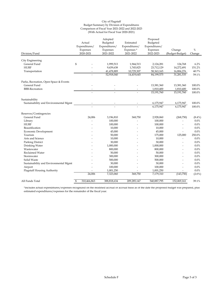## City of Flagstaff Budget Summary by Division of Expenditures Comparison of Fiscal Year 2021-2022 and 2022-2023 (With Actual for Fiscal Year 2020-2021)

|                                        | Actual                       | Adopted<br>Budgeted   | Estimated               | Proposed<br>Budgeted  |                           |                |
|----------------------------------------|------------------------------|-----------------------|-------------------------|-----------------------|---------------------------|----------------|
|                                        | Expenditures/                | Expenditures/         | Expenditures/           | Expenditures/         |                           |                |
| Division/Fund                          | Expenses<br>2020-2021        | Expenses<br>2021-2022 | Expenses *<br>2021-2022 | Expenses<br>2022-2023 | Change<br>(Budget-Budget) | $\%$<br>Change |
|                                        |                              |                       |                         |                       |                           |                |
| City Engineering                       |                              |                       |                         |                       |                           |                |
| General Fund                           | \$                           | 1,999,513             | 1,944,513               | 2,124,281             | 124,768                   | 6.2%           |
| <b>HURF</b>                            |                              | 9,439,638             | 1,745,825               | 23,712,129            | 14,272,491                | 151.2%         |
| Transportation                         |                              | 41,478,889            | 10,729,307              | 58, 363, 165          | 16,884,276                | 40.7%          |
|                                        |                              | 52,918,040            | 14,419,645              | 84,199,575            | 31,281,535                | 59.1%          |
| Parks, Recreation, Open Space & Events |                              |                       |                         |                       |                           |                |
| General Fund                           |                              |                       |                         | 13,381,360            | 13,381,360                | 100.0%         |
| <b>BBB-Recreation</b>                  |                              |                       |                         | 1,810,400             | 1,810,400                 | 100.0%         |
|                                        |                              |                       |                         | 15,191,760            | 15,191,760                | 100.0%         |
| Sustainability                         |                              |                       |                         |                       |                           |                |
| Sustainability and Environmental Mgmt  |                              |                       |                         | 6,175,947             | 6,175,947                 | 100.0%         |
|                                        |                              |                       |                         | 6,175,947             | 6,175,947                 | 100.0%         |
| Reserves/Contingencies                 |                              |                       |                         |                       |                           |                |
| General Fund                           | 24,006                       | 3,196,810             | 368,750                 | 2,928,060             | (268,750)                 | $(8.4\%)$      |
| Library                                |                              | 100,000               |                         | 100,000               |                           | $0.0\%$        |
| <b>HURF</b>                            |                              | 100,000               |                         | 100,000               | $\overline{a}$            | 0.0%           |
| Beautification                         |                              | 10,000                |                         | 10,000                | $\overline{a}$            | 0.0%           |
| Economic Development                   |                              | 45,000                |                         | 45,000                | $\overline{\phantom{a}}$  | 0.0%           |
| Tourism                                |                              | 50,000                |                         | 175,000               | 125,000                   | 250.0%         |
| Arts and Science                       |                              | 10,000                |                         | 10,000                | $\overline{a}$            | 0.0%           |
| Parking District                       |                              | 30,000                |                         | 30,000                | $\overline{a}$            | 0.0%           |
| Drinking Water                         |                              | 1,000,000             |                         | 1,000,000             | $\overline{a}$            | 0.0%           |
| Wastewater                             |                              | 800,000               |                         | 800,000               | $\overline{a}$            | 0.0%           |
| Reclaimed Water                        |                              | 50,000                |                         | 50,000                | $\overline{a}$            | 0.0%           |
| Stormwater                             |                              | 300,000               |                         | 300,000               | $\overline{a}$            | 0.0%           |
| Solid Waste                            |                              | 500,000               |                         | 500,000               |                           | 0.0%           |
| Sustainability and Environmental Mgmt  |                              | 30,000                |                         | 30,000                |                           | 0.0%           |
| Airport                                |                              | 100,000               |                         | 100,000               |                           | 0.0%           |
| <b>Flagstaff Housing Authority</b>     |                              | 1,001,250             | $\overline{a}$          | 1,001,250             | $\overline{a}$            | 0.0%           |
|                                        | 24,006                       | 7,323,060             | 368,750                 | 7,179,310             | (143,750)                 | $(2.0\%)$      |
| All Funds Total                        | $\mathcal{S}$<br>310,466,863 | 388,818,634           | 209,285,147             | 540,887,795           | 152,069,161               | 39.1%          |

\*Includes actual expenditures/expenses recognized on the modified accrual or accrual basis as of the date the proposed budget was prepared, plus estimated expenditures/expenses for the remainder of the fiscal year.